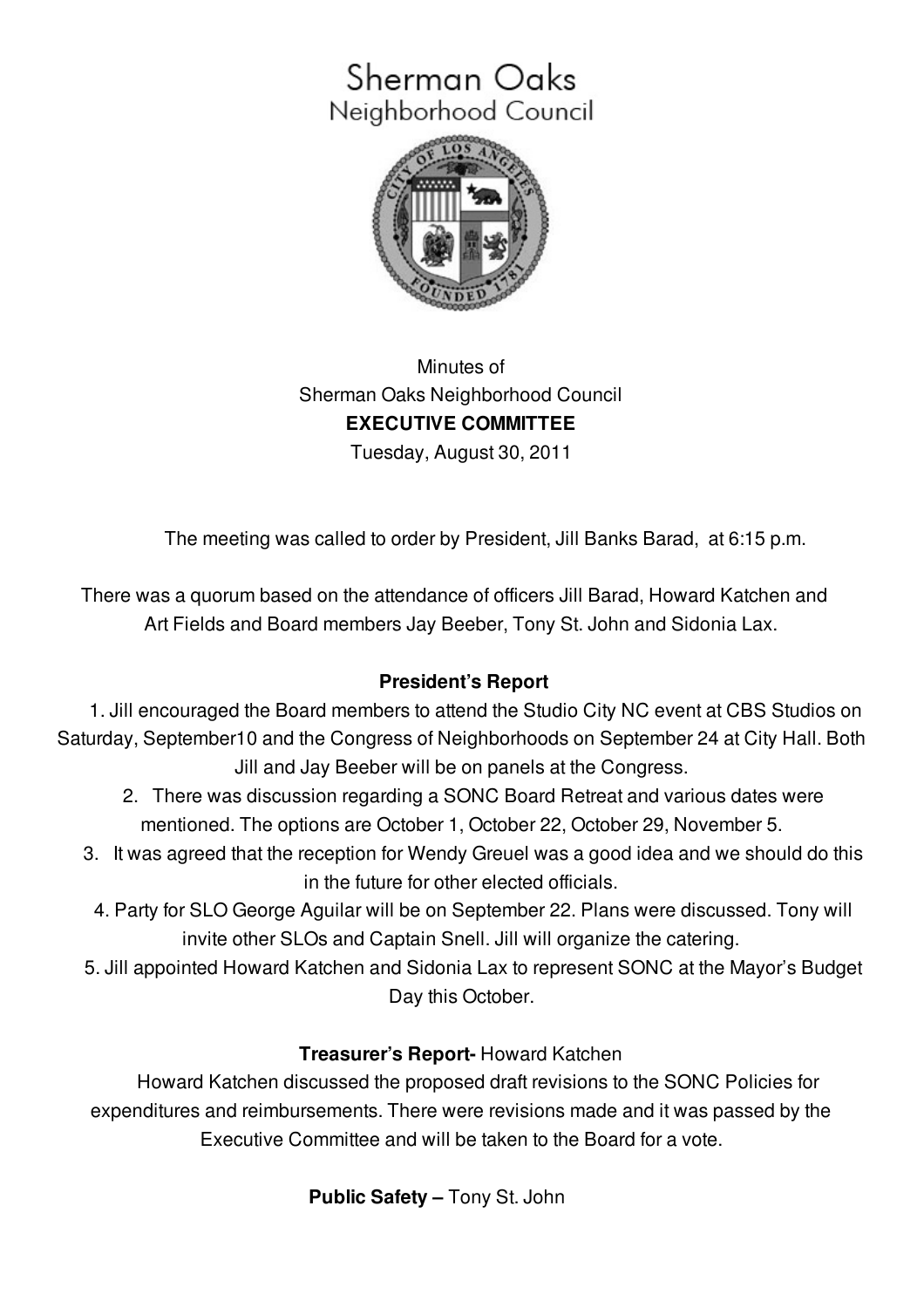## Sherman Oaks Neighborhood Council



Minutes of Sherman Oaks Neighborhood Council **EXECUTIVE COMMITTEE** Tuesday, August 30, 2011

The meeting was called to order by President, Jill Banks Barad, at 6:15 p.m.

There was a quorum based on the attendance of officers Jill Barad, Howard Katchen and Art Fields and Board members Jay Beeber, Tony St. John and Sidonia Lax.

## **President's Report**

1. Jill encouraged the Board members to attend the Studio City NC event at CBS Studios on Saturday, September10 and the Congress of Neighborhoods on September 24 at City Hall. Both Jill and Jay Beeber will be on panels at the Congress.

- 2. There was discussion regarding a SONC Board Retreat and various dates were mentioned. The options are October 1, October 22, October 29, November 5.
- 3. It was agreed that the reception for Wendy Greuel was a good idea and we should do this in the future for other elected officials.
	- 4. Party for SLO George Aguilar will be on September 22. Plans were discussed. Tony will invite other SLOs and Captain Snell. Jill will organize the catering.
- 5. Jill appointed Howard Katchen and Sidonia Lax to represent SONC at the Mayor's Budget Day this October.

## **Treasurer's Report-** Howard Katchen

Howard Katchen discussed the proposed draft revisions to the SONC Policies for expenditures and reimbursements. There were revisions made and it was passed by the Executive Committee and will be taken to the Board for a vote.

## **Public Safety –** Tony St. John